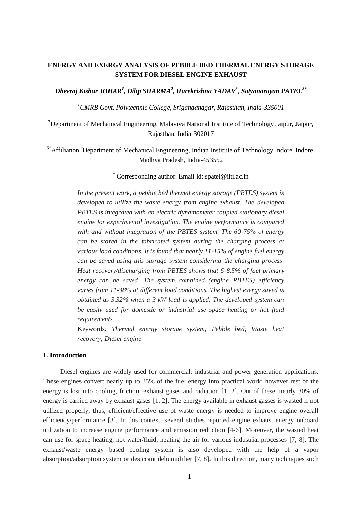# **ENERGY AND EXERGY ANALYSIS OF PEBBLE BED THERMAL ENERGY STORAGE SYSTEM FOR DIESEL ENGINE EXHAUST**

*Dheeraj Kishor JOHAR<sup>1</sup> , Dilip SHARMA<sup>2</sup> , Harekrishna YADAV<sup>3</sup> , Satyanarayan PATEL3\**

*<sup>1</sup>CMRB Govt. Polytechnic College, Sriganganagar, Rajasthan, India-335001*

<sup>2</sup>Department of Mechanical Engineering, Malaviya National Institute of Technology Jaipur, Jaipur, Rajasthan, India-302017

<sup>3\*</sup>Affiliation <sup>c</sup>Department of Mechanical Engineering, Indian Institute of Technology Indore, Indore, Madhya Pradesh, India-453552

## \* Corresponding author: Email id: spatel@iiti.ac.in

*In the present work, a pebble bed thermal energy storage (PBTES) system is developed to utilize the waste energy from engine exhaust. The developed PBTES is integrated with an electric dynamometer coupled stationary diesel engine for experimental investigation. The engine performance is compared with and without integration of the PBTES system. The 60-75% of energy can be stored in the fabricated system during the charging process at various load conditions. It is found that nearly 11-15% of engine fuel energy can be saved using this storage system considering the charging process. Heat recovery/discharging from PBTES shows that 6-8.5% of fuel primary energy can be saved. The system combined (engine+PBTES) efficiency varies from 11-38% at different load conditions. The highest exergy saved is obtained as 3.32% when a 3 kW load is applied. The developed system can be easily used for domestic or industrial use space heating or hot fluid requirements.*

Keywords*: Thermal energy storage system; Pebble bed; Waste heat recovery; Diesel engine*

## **1. Introduction**

Diesel engines are widely used for commercial, industrial and power generation applications. These engines convert nearly up to 35% of the fuel energy into practical work; however rest of the energy is lost into cooling, friction, exhaust gases and radiation [1, 2]. Out of these, nearly 30% of energy is carried away by exhaust gases [1, 2]. The energy available in exhaust gasses is wasted if not utilized properly; thus, efficient/effective use of waste energy is needed to improve engine overall efficiency/performance [3]. In this context, several studies reported engine exhaust energy onboard utilization to increase engine performance and emission reduction [4-6]. Moreover, the wasted heat can use for space heating, hot water/fluid, heating the air for various industrial processes [7, 8]. The exhaust/waste energy based cooling system is also developed with the help of a vapor absorption/adsorption system or desiccant dehumidifier [7, 8]. In this direction, many techniques such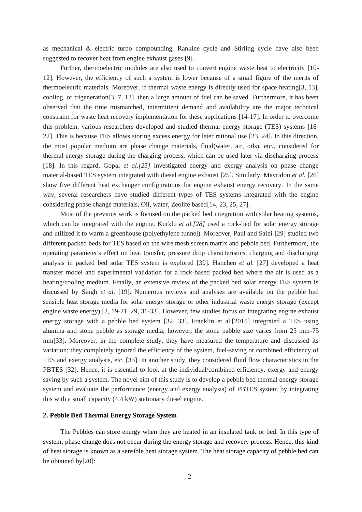as mechanical & electric turbo compounding, Rankine cycle and Stirling cycle have also been suggested to recover heat from engine exhaust gases [9].

Further, thermoelectric modules are also used to convert engine waste heat to electricity [10-12]. However, the efficiency of such a system is lower because of a small figure of the merits of thermoelectric materials. Moreover, if thermal waste energy is directly used for space heating[3, 13], cooling, or trigeneration[3, 7, 13], then a large amount of fuel can be saved. Furthermore, it has been observed that the time mismatched, intermittent demand and availability are the major technical constraint for waste heat recovery implementation for these applications [14-17]. In order to overcome this problem, various researchers developed and studied thermal energy storage (TES) systems [18- 22]. This is because TES allows storing excess energy for later rational use [23, 24]. In this direction, the most popular medium are phase change materials, fluid(water, air, oils), etc., considered for thermal energy storage during the charging process, which can be used later via discharging process [18]. In this regard, Gopal *et al.[25]* investigated energy and exergy analysis on phase change material-based TES system integrated with diesel engine exhaust [25]. Similarly, Mavridou *et al.* [26] show five different heat exchanger configurations for engine exhaust energy recovery. In the same way, several researchers have studied different types of TES systems integrated with the engine considering phase change materials, Oil, water, Zeolite based[14, 23, 25, 27].

Most of the previous work is focused on the packed bed integration with solar heating systems, which can be integrated with the engine. Kurklu *et al.*[28] used a rock-bed for solar energy storage and utilized it to warm a greenhouse (polyethylene tunnel). Moreover, Paul and Saini [29] studied two different packed beds for TES based on the wire mesh screen matrix and pebble bed. Furthermore, the operating parameter's effect on heat transfer, pressure drop characteristics, charging and discharging analysis in packed bed solar TES system is explored [30]. Hanchen *et al.* [27] developed a heat transfer model and experimental validation for a rock-based packed bed where the air is used as a heating/cooling medium. Finally, an extensive review of the packed bed solar energy TES system is discussed by Singh *et al.* [19]. Numerous reviews and analyses are available on the pebble bed sensible heat storage media for solar energy storage or other industrial waste energy storage (except engine waste energy) [2, 19-21, 29, 31-33]. However, few studies focus on integrating engine exhaust energy storage with a pebble bed system [32, 33]. Franklin et al.[2015] integrated a TES using alumina and stone pebble as storage media; however, the stone pabble size varies from 25 mm-75 mm[33]. Moreover, in the complete study, they have measured the temperature and discussed its variation; they completely ignored the efficiency of the system, fuel-saving or combined efficiency of TES and exergy analysis, etc. [33]. In another study, they considered fluid flow characteristics in the PBTES [32]. Hence, it is essential to look at the individual/combined efficiency, exergy and energy saving by such a system. The novel aim of this study is to develop a pebble bed thermal energy storage system and evaluate the performance (energy and exergy analysis) of PBTES system by integrating this with a small capacity (4.4 kW) stationary diesel engine.

## **2. Pebble Bed Thermal Energy Storage System**

The Pebbles can store energy when they are heated in an insulated tank or bed. In this type of system, phase change does not occur during the energy storage and recovery process. Hence, this kind of heat storage is known as a sensible heat storage system. The heat storage capacity of pebble bed can be obtained by[20]: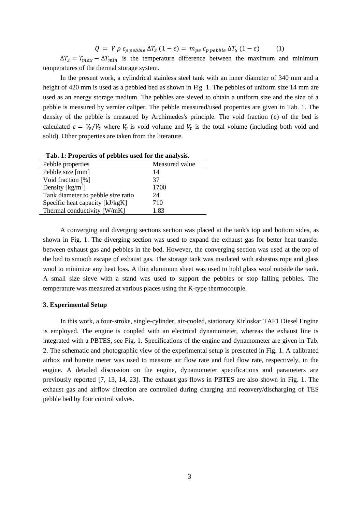$Q = V \rho c_{n \text{ nebile}} \Delta T_S (1 - \varepsilon) = m_{ne} c_{n \text{ nebile}} \Delta T_S (1 - \varepsilon)$  (1)

 $\Delta T_s = T_{max} - \Delta T_{min}$  is the temperature difference between the maximum and minimum temperatures of the thermal storage system.

In the present work, a cylindrical stainless steel tank with an inner diameter of 340 mm and a height of 420 mm is used as a pebbled bed as shown in Fig. 1. The pebbles of uniform size 14 mm are used as an energy storage medium. The pebbles are sieved to obtain a uniform size and the size of a pebble is measured by vernier caliper. The pebble measured/used properties are given in Tab. 1. The density of the pebble is measured by Archimedes's principle. The void fraction  $(\varepsilon)$  of the bed is calculated  $\varepsilon = V_v/V_t$  where  $V_v$  is void volume and  $V_t$  is the total volume (including both void and solid). Other properties are taken from the literature.

| <b>Tab. 1: Properties of peddies used for the analysis.</b> |                |  |  |  |
|-------------------------------------------------------------|----------------|--|--|--|
| Pebble properties                                           | Measured value |  |  |  |
| Pebble size [mm]                                            | 14             |  |  |  |
| Void fraction [%]                                           | 37             |  |  |  |
| Density $\lceil \text{kg/m}^3 \rceil$                       | 1700           |  |  |  |
| Tank diameter to pebble size ratio                          | 24             |  |  |  |
| Specific heat capacity [kJ/kgK]                             | 710            |  |  |  |
| Thermal conductivity [W/mK]                                 | 1.83           |  |  |  |
|                                                             |                |  |  |  |

**Tab. 1: Properties of pebbles used for the analysis**.

A converging and diverging sections section was placed at the tank's top and bottom sides, as shown in Fig. 1. The diverging section was used to expand the exhaust gas for better heat transfer between exhaust gas and pebbles in the bed. However, the converging section was used at the top of the bed to smooth escape of exhaust gas. The storage tank was insulated with asbestos rope and glass wool to minimize any heat loss. A thin aluminum sheet was used to hold glass wool outside the tank. A small size sieve with a stand was used to support the pebbles or stop falling pebbles. The temperature was measured at various places using the K-type thermocouple.

## **3. Experimental Setup**

In this work, a four-stroke, single-cylinder, air-cooled, stationary Kirloskar TAF1 Diesel Engine is employed. The engine is coupled with an electrical dynamometer, whereas the exhaust line is integrated with a PBTES, see Fig. 1. Specifications of the engine and dynamometer are given in Tab. 2. The schematic and photographic view of the experimental setup is presented in Fig. 1. A calibrated airbox and burette meter was used to measure air flow rate and fuel flow rate, respectively, in the engine. A detailed discussion on the engine, dynamometer specifications and parameters are previously reported [7, 13, 14, 23]. The exhaust gas flows in PBTES are also shown in Fig. 1. The exhaust gas and airflow direction are controlled during charging and recovery/discharging of TES pebble bed by four control valves.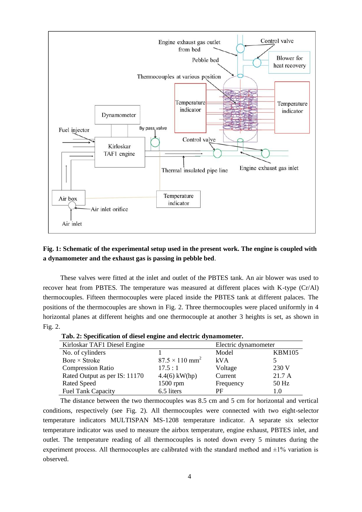

## **Fig. 1: Schematic of the experimental setup used in the present work. The engine is coupled with a dynamometer and the exhaust gas is passing in pebble bed**.

These valves were fitted at the inlet and outlet of the PBTES tank. An air blower was used to recover heat from PBTES. The temperature was measured at different places with K-type (Cr/Al) thermocouples. Fifteen thermocouples were placed inside the PBTES tank at different palaces. The positions of the thermocouples are shown in Fig. 2. Three thermocouples were placed uniformly in 4 horizontal planes at different heights and one thermocouple at another 3 heights is set, as shown in Fig. 2.

 **Tab. 2: Specification of diesel engine and electric dynamometer.**

| Kirloskar TAF1 Diesel Engine  |                                   | Electric dynamometer |               |  |
|-------------------------------|-----------------------------------|----------------------|---------------|--|
| No. of cylinders              |                                   | Model                | <b>KBM105</b> |  |
| Bore $\times$ Stroke          | $87.5 \times 110$ mm <sup>2</sup> | kVA                  |               |  |
| <b>Compression Ratio</b>      | 17.5:1                            | Voltage              | 230 V         |  |
| Rated Output as per IS: 11170 | $4.4(6)$ kW(hp)                   | Current              | 21.7 A        |  |
| <b>Rated Speed</b>            | 1500 rpm                          | Frequency            | $50$ Hz       |  |
| Fuel Tank Capacity            | 6.5 liters                        | PF                   | 1.0           |  |

The distance between the two thermocouples was 8.5 cm and 5 cm for horizontal and vertical conditions, respectively (see Fig. 2). All thermocouples were connected with two eight-selector temperature indicators MULTISPAN MS-1208 temperature indicator. A separate six selector temperature indicator was used to measure the airbox temperature, engine exhaust, PBTES inlet, and outlet. The temperature reading of all thermocouples is noted down every 5 minutes during the experiment process. All thermocouples are calibrated with the standard method and  $\pm 1\%$  variation is observed.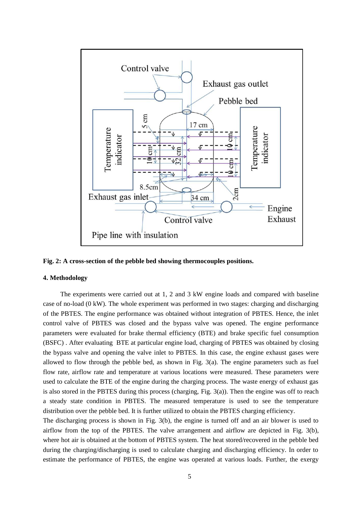

**Fig. 2: A cross-section of the pebble bed showing thermocouples positions.**

## **4. Methodology**

The experiments were carried out at 1, 2 and 3 kW engine loads and compared with baseline case of no-load (0 kW). The whole experiment was performed in two stages: charging and discharging of the PBTES. The engine performance was obtained without integration of PBTES. Hence, the inlet control valve of PBTES was closed and the bypass valve was opened. The engine performance parameters were evaluated for brake thermal efficiency (BTE) and brake specific fuel consumption (BSFC) . After evaluating BTE at particular engine load, charging of PBTES was obtained by closing the bypass valve and opening the valve inlet to PBTES. In this case, the engine exhaust gases were allowed to flow through the pebble bed, as shown in Fig. 3(a). The engine parameters such as fuel flow rate, airflow rate and temperature at various locations were measured. These parameters were used to calculate the BTE of the engine during the charging process. The waste energy of exhaust gas is also stored in the PBTES during this process (charging, Fig. 3(a)). Then the engine was off to reach a steady state condition in PBTES. The measured temperature is used to see the temperature distribution over the pebble bed. It is further utilized to obtain the PBTES charging efficiency.

The discharging process is shown in Fig. 3(b), the engine is turned off and an air blower is used to airflow from the top of the PBTES. The valve arrangement and airflow are depicted in Fig. 3(b), where hot air is obtained at the bottom of PBTES system. The heat stored/recovered in the pebble bed during the charging/discharging is used to calculate charging and discharging efficiency. In order to estimate the performance of PBTES, the engine was operated at various loads. Further, the exergy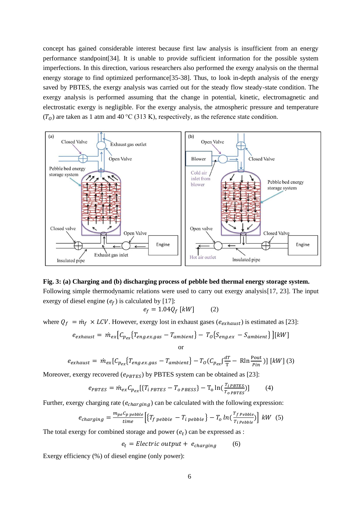concept has gained considerable interest because first law analysis is insufficient from an energy performance standpoint[34]. It is unable to provide sufficient information for the possible system imperfections. In this direction, various researchers also performed the exergy analysis on the thermal energy storage to find optimized performance[35-38]. Thus, to look in-depth analysis of the energy saved by PBTES, the exergy analysis was carried out for the steady flow steady-state condition. The exergy analysis is performed assuming that the change in potential, kinetic, electromagnetic and electrostatic exergy is negligible. For the exergy analysis, the atmospheric pressure and temperature  $(T<sub>0</sub>)$  are taken as 1 atm and 40 °C (313 K), respectively, as the reference state condition.



# **Fig. 3: (a) Charging and (b) discharging process of pebble bed thermal energy storage system.** Following simple thermodynamic relations were used to carry out exergy analysis[17, 23]. The input exergy of diesel engine  $(e_f)$  is calculated by [17]:

$$
e_f = 1.04 Q_f \, [kW] \qquad (2)
$$

where  $Q_f = \dot{m}_f \times LCV$ . However, exergy lost in exhaust gases ( $e_{exhaust}$ ) is estimated as [23]:

$$
e_{exhaust} = \dot{m}_{ex} [C_{p_{ex}} \{ T_{eng.ex.gas} - T_{ambient} \} - T_0 \{ S_{eng.ex} - S_{ambient} \}] [kW]
$$
\nor

$$
e_{exhaust} = \dot{m}_{ex} [C_{p_{ex}} \{ T_{eng.ex.gas} - T_{ambient} \} - T_0 (C_{p_{ex}} \frac{dT}{T} - Rh \frac{Pout}{Pin}) ] [kW] (3)
$$

Moreover, exergy recovered ( $e_{PBTES}$ ) by PBTES system can be obtained as [23]:

$$
e_{PBTES} = \dot{m}_{ex} C_{p_{ex}} [\{T_{i\ PBTES} - T_{o\ PBESS}\} - T_{o} \ln(\frac{T_{i\ PBTES}}{T_{o\ PBTES}})] \tag{4}
$$

Further, exergy charging rate ( $e_{charaina}$ ) can be calculated with the following expression:

$$
e_{charging} = \frac{m_{pe}c_{p\ pebb}}{time} \left[ \left\{ T_{f\ pebb} - T_{i\ pebb} \right\} - T_{o} \ln\left(\frac{T_{f\ Pebb} }{T_{i\ pebb} \right)} \right] \, kW \tag{5}
$$

The total exergy for combined storage and power  $(e_t)$  can be expressed as :

$$
e_t = Electric\ output + e_{charging} \tag{6}
$$

Exergy efficiency (%) of diesel engine (only power):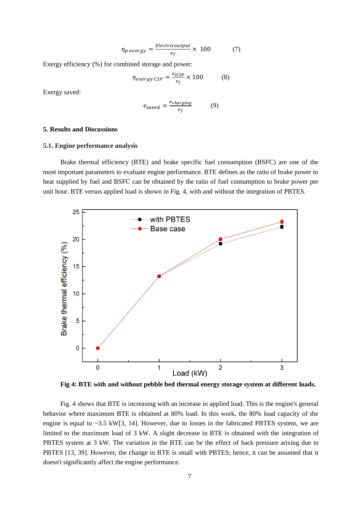$$
\eta_{p\,exergy} = \frac{Electricoutput}{e_f} \times 100\tag{7}
$$

Exergy efficiency (%) for combined storage and power:

$$
\eta_{exergy\,CSP} = \frac{e_{tCSP}}{e_f} \times 100\tag{8}
$$

Exergy saved:

$$
e_{saved} = \frac{e_{charging}}{e_f} \tag{9}
$$

## **5. Results and Discussions**

## **5.1. Engine performance analysis**

Brake thermal efficiency (BTE) and brake specific fuel consumption (BSFC) are one of the most important parameters to evaluate engine performance. BTE defines as the ratio of brake power to heat supplied by fuel and BSFC can be obtained by the ratio of fuel consumption to brake power per unit hour. BTE versus applied load is shown in Fig. 4, with and without the integration of PBTES.



**Fig 4: BTE with and without pebble bed thermal energy storage system at different loads.** 

Fig. 4 shows that BTE is increasing with an increase in applied load. This is the engine's general behavior where maximum BTE is obtained at 80% load. In this work, the 80% load capacity of the engine is equal to  $\sim$ 3.5 kW[3, 14]. However, due to losses in the fabricated PBTES system, we are limited to the maximum load of 3 kW. A slight decrease in BTE is obtained with the integration of PBTES system at 3 kW. The variation in the BTE can be the effect of back pressure arising due to PBTES [13, 39]. However, the change in BTE is small with PBTES; hence, it can be assumed that it doesn't significantly affect the engine performance.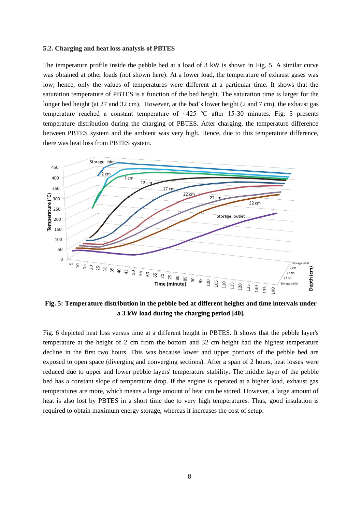#### **5.2. Charging and heat loss analysis of PBTES**

The temperature profile inside the pebble bed at a load of 3 kW is shown in Fig. 5. A similar curve was obtained at other loads (not shown here). At a lower load, the temperature of exhaust gases was low; hence, only the values of temperatures were different at a particular time. It shows that the saturation temperature of PBTES is a function of the bed height. The saturation time is larger for the longer bed height (at 27 and 32 cm). However, at the bed's lower height (2 and 7 cm), the exhaust gas temperature reached a constant temperature of  $\sim$ 425 °C after 15-30 minutes. Fig. 5 presents temperature distribution during the charging of PBTES. After charging, the temperature difference between PBTES system and the ambient was very high. Hence, due to this temperature difference, there was heat loss from PBTES system.



**Fig. 5: Temperature distribution in the pebble bed at different heights and time intervals under a 3 kW load during the charging period [40].**

Fig. 6 depicted heat loss versus time at a different height in PBTES. It shows that the pebble layer's temperature at the height of 2 cm from the bottom and 32 cm height had the highest temperature decline in the first two hours. This was because lower and upper portions of the pebble bed are exposed to open space (diverging and converging sections). After a span of 2 hours, heat losses were reduced due to upper and lower pebble layers' temperature stability. The middle layer of the pebble bed has a constant slope of temperature drop. If the engine is operated at a higher load, exhaust gas temperatures are more, which means a large amount of heat can be stored. However, a large amount of heat is also lost by PBTES in a short time due to very high temperatures. Thus, good insulation is required to obtain maximum energy storage, whereas it increases the cost of setup.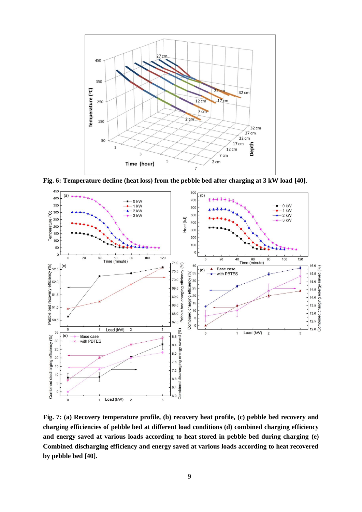

**Fig. 6: Temperature decline (heat loss) from the pebble bed after charging at 3 kW load [40]**.



**Fig. 7: (a) Recovery temperature profile, (b) recovery heat profile, (c) pebble bed recovery and charging efficiencies of pebble bed at different load conditions (d) combined charging efficiency and energy saved at various loads according to heat stored in pebble bed during charging (e) Combined discharging efficiency and energy saved at various loads according to heat recovered by pebble bed [40].**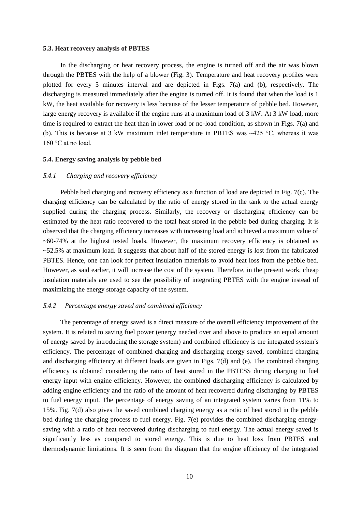#### **5.3. Heat recovery analysis of PBTES**

In the discharging or heat recovery process, the engine is turned off and the air was blown through the PBTES with the help of a blower (Fig. 3). Temperature and heat recovery profiles were plotted for every 5 minutes interval and are depicted in Figs. 7(a) and (b), respectively. The discharging is measured immediately after the engine is turned off. It is found that when the load is 1 kW, the heat available for recovery is less because of the lesser temperature of pebble bed. However, large energy recovery is available if the engine runs at a maximum load of 3 kW. At 3 kW load, more time is required to extract the heat than in lower load or no-load condition, as shown in Figs. 7(a) and (b). This is because at 3 kW maximum inlet temperature in PBTES was  $\sim$ 425 °C, whereas it was 160 °C at no load.

## **5.4. Energy saving analysis by pebble bed**

## *5.4.1 Charging and recovery efficiency*

Pebble bed charging and recovery efficiency as a function of load are depicted in Fig. 7(c). The charging efficiency can be calculated by the ratio of energy stored in the tank to the actual energy supplied during the charging process. Similarly, the recovery or discharging efficiency can be estimated by the heat ratio recovered to the total heat stored in the pebble bed during charging. It is observed that the charging efficiency increases with increasing load and achieved a maximum value of  $\sim 60-74\%$  at the highest tested loads. However, the maximum recovery efficiency is obtained as  $\sim$  52.5% at maximum load. It suggests that about half of the stored energy is lost from the fabricated PBTES. Hence, one can look for perfect insulation materials to avoid heat loss from the pebble bed. However, as said earlier, it will increase the cost of the system. Therefore, in the present work, cheap insulation materials are used to see the possibility of integrating PBTES with the engine instead of maximizing the energy storage capacity of the system.

## *5.4.2 Percentage energy saved and combined efficiency*

The percentage of energy saved is a direct measure of the overall efficiency improvement of the system. It is related to saving fuel power (energy needed over and above to produce an equal amount of energy saved by introducing the storage system) and combined efficiency is the integrated system's efficiency. The percentage of combined charging and discharging energy saved, combined charging and discharging efficiency at different loads are given in Figs. 7(d) and (e). The combined charging efficiency is obtained considering the ratio of heat stored in the PBTESS during charging to fuel energy input with engine efficiency. However, the combined discharging efficiency is calculated by adding engine efficiency and the ratio of the amount of heat recovered during discharging by PBTES to fuel energy input. The percentage of energy saving of an integrated system varies from 11% to 15%. Fig. 7(d) also gives the saved combined charging energy as a ratio of heat stored in the pebble bed during the charging process to fuel energy. Fig. 7(e) provides the combined discharging energysaving with a ratio of heat recovered during discharging to fuel energy. The actual energy saved is significantly less as compared to stored energy. This is due to heat loss from PBTES and thermodynamic limitations. It is seen from the diagram that the engine efficiency of the integrated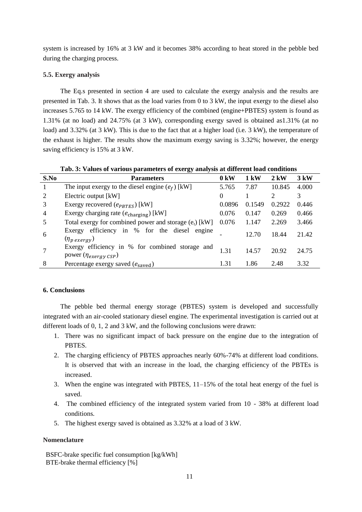system is increased by 16% at 3 kW and it becomes 38% according to heat stored in the pebble bed during the charging process.

## **5.5. Exergy analysis**

The Eq.s presented in section 4 are used to calculate the exergy analysis and the results are presented in Tab. 3. It shows that as the load varies from 0 to 3 kW, the input exergy to the diesel also increases 5.765 to 14 kW. The exergy efficiency of the combined (engine+PBTES) system is found as 1.31% (at no load) and 24.75% (at 3 kW), corresponding exergy saved is obtained as1.31% (at no load) and 3.32% (at 3 kW). This is due to the fact that at a higher load (i.e. 3 kW), the temperature of the exhaust is higher. The results show the maximum exergy saving is 3.32%; however, the energy saving efficiency is 15% at 3 kW.

| Tab. 3: Values of various parameters of exergy analysis at different load conditions |                                                                                 |          |        |                       |       |  |  |  |
|--------------------------------------------------------------------------------------|---------------------------------------------------------------------------------|----------|--------|-----------------------|-------|--|--|--|
| S.No                                                                                 | <b>Parameters</b>                                                               |          | 1 kW   | $2 \text{ kW}$        | 3 kW  |  |  |  |
|                                                                                      | The input exergy to the diesel engine $(e_f)$ [kW]                              |          | 7.87   | 10.845                | 4.000 |  |  |  |
| 2                                                                                    | Electric output [kW]                                                            | $\Omega$ |        | $\mathcal{D}_{\cdot}$ | 3     |  |  |  |
| 3                                                                                    | Exergy recovered $(e_{PBTES})$ [kW]                                             | 0.0896   | 0.1549 | 0.2922                | 0.446 |  |  |  |
| 4                                                                                    | Exergy charging rate $(e_{\text{charging}})$ [kW]                               | 0.076    | 0.147  | 0.269                 | 0.466 |  |  |  |
|                                                                                      | Total exergy for combined power and storage $(e_t)$ [kW]                        | 0.076    | 1.147  | 2.269                 | 3.466 |  |  |  |
| 6                                                                                    | Exergy efficiency in % for the diesel<br>engine<br>$(\eta_{p\,exergy})$         |          | 12.70  | 18.44                 | 21.42 |  |  |  |
|                                                                                      | Exergy efficiency in % for combined storage and<br>power $(\eta_{exergy\;CSP})$ | 1.31     | 14.57  | 20.92                 | 24.75 |  |  |  |
| 8                                                                                    | Percentage exergy saved $(e_{\text{saved}})$                                    | 1.31     | 1.86   | 2.48                  | 3.32  |  |  |  |

**Tab. 3: Values of various parameters of exergy analysis at different load conditions**

## **6. Conclusions**

The pebble bed thermal energy storage (PBTES) system is developed and successfully integrated with an air-cooled stationary diesel engine. The experimental investigation is carried out at different loads of 0, 1, 2 and 3 kW, and the following conclusions were drawn:

- 1. There was no significant impact of back pressure on the engine due to the integration of **PRTES**
- 2. The charging efficiency of PBTES approaches nearly 60%-74% at different load conditions. It is observed that with an increase in the load, the charging efficiency of the PBTEs is increased.
- 3. When the engine was integrated with PBTES, 11–15% of the total heat energy of the fuel is saved.
- 4. The combined efficiency of the integrated system varied from 10 38% at different load conditions.
- 5. The highest exergy saved is obtained as 3.32% at a load of 3 kW.

## **Nomenclature**

BSFC-brake specific fuel consumption [kg/kWh] BTE-brake thermal efficiency [%]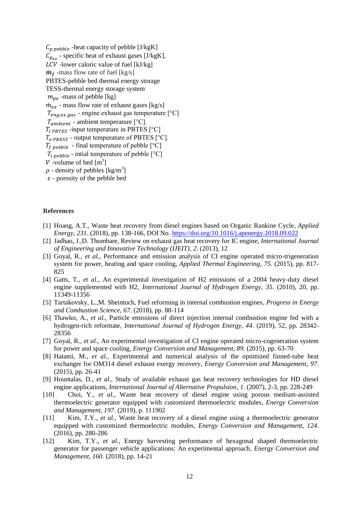$C_{p,pebble}$  -heat capacity of pebble [J/kgK]  $C_{p_{\alpha x}}$  - specific heat of exhaust gases [J/kgK],  $LCV$  -lower caloric value of fuel [kJ/kg]  $\dot{m}_f$  -mass flow rate of fuel [kg/s] PBTES-pebble bed thermal energy storage TESS-thermal energy storage system  $m_{pe}$  -mass of pebble [kg]  $\dot{m}_{ex}$  - mass flow rate of exhaust gases [kg/s]  $T_{eng, ex, gas}$  - engine exhaust gas temperature [°C]  $T_{ambient}$  - ambient temperature [°C].  $T_{i\text{ PRTES}}$  -input temperature in PBTES  $[^{\circ}C]$  $T_{o\ P BESS}$  - output temperature of PBTES [°C].  $T_{f \ pebb}$  - final temperature of pebble [°C]  $T_{i \text{ pebble}}$  - intial temperature of pebble [°C] V -volume of bed  $[m^3]$  $\rho$  - density of pebbles [kg/m<sup>3</sup>]  $\varepsilon$  - porosity of the pebble bed

#### **References**

- [1] Hoang, A.T., Waste heat recovery from diesel engines based on Organic Rankine Cycle*, Applied Energy*, *231*. (2018), pp. 138-166, DOI No.<https://doi.org/10.1016/j.apenergy.2018.09.022>
- [2] Jadhao, J.,D. Thombare, Review on exhaust gas heat recovery for IC engine*, International Journal of Engineering and Innovative Technology (IJEIT)*, *2*. (2013), 12
- [3] Goyal, R.*, et al.*, Performance and emission analysis of CI engine operated micro-trigeneration system for power, heating and space cooling*, Applied Thermal Engineering*, *75*. (2015), pp. 817- 825
- [4] Gatts, T.*, et al.*, An experimental investigation of H2 emissions of a 2004 heavy-duty diesel engine supplemented with H2*, International Journal of Hydrogen Energy*, *35*. (2010), 20, pp. 11349-11356
- [5] Tartakovsky, L.,M. Sheintuch, Fuel reforming in internal combustion engines*, Progress in Energy and Combustion Science*, *67*. (2018), pp. 88-114
- [6] Thawko, A.*, et al.*, Particle emissions of direct injection internal combustion engine fed with a hydrogen-rich reformate*, International Journal of Hydrogen Energy*, *44*. (2019), 52, pp. 28342- 28356
- [7] Goyal, R.*, et al.*, An experimental investigation of CI engine operated micro-cogeneration system for power and space cooling*, Energy Conversion and Management*, *89*. (2015), pp. 63-70
- [8] Hatami, M.*, et al.*, Experimental and numerical analysis of the optimized finned-tube heat exchanger for OM314 diesel exhaust exergy recovery*, Energy Conversion and Management*, *97*. (2015), pp. 26-41
- [9] Hountalas, D.*, et al.*, Study of available exhaust gas heat recovery technologies for HD diesel engine applications*, International Journal of Alternative Propulsion*, *1*. (2007), 2-3, pp. 228-249
- [10] Choi, Y.*, et al.*, Waste heat recovery of diesel engine using porous medium-assisted thermoelectric generator equipped with customized thermoelectric modules*, Energy Conversion and Management*, *197*. (2019), p. 111902
- [11] Kim, T.Y.*, et al.*, Waste heat recovery of a diesel engine using a thermoelectric generator equipped with customized thermoelectric modules*, Energy Conversion and Management*, *124*. (2016), pp. 280-286
- [12] Kim, T.Y.*, et al.*, Energy harvesting performance of hexagonal shaped thermoelectric generator for passenger vehicle applications: An experimental approach*, Energy Conversion and Management*, *160*. (2018), pp. 14-21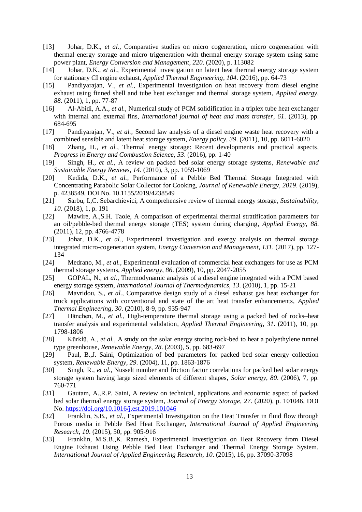- [13] Johar, D.K.*, et al.*, Comparative studies on micro cogeneration, micro cogeneration with thermal energy storage and micro trigeneration with thermal energy storage system using same power plant*, Energy Conversion and Management*, *220*. (2020), p. 113082
- [14] Johar, D.K.*, et al.*, Experimental investigation on latent heat thermal energy storage system for stationary CI engine exhaust*, Applied Thermal Engineering*, *104*. (2016), pp. 64-73
- [15] Pandiyarajan, V.*, et al.*, Experimental investigation on heat recovery from diesel engine exhaust using finned shell and tube heat exchanger and thermal storage system*, Applied energy*, *88*. (2011), 1, pp. 77-87
- [16] Al-Abidi, A.A.*, et al.*, Numerical study of PCM solidification in a triplex tube heat exchanger with internal and external fins*, International journal of heat and mass transfer*, *61*. (2013), pp. 684-695
- [17] Pandiyarajan, V.*, et al.*, Second law analysis of a diesel engine waste heat recovery with a combined sensible and latent heat storage system*, Energy policy*, *39*. (2011), 10, pp. 6011-6020
- [18] Zhang, H.*, et al.*, Thermal energy storage: Recent developments and practical aspects*, Progress in Energy and Combustion Science*, *53*. (2016), pp. 1-40
- [19] Singh, H.*, et al.*, A review on packed bed solar energy storage systems*, Renewable and Sustainable Energy Reviews*, *14*. (2010), 3, pp. 1059-1069
- [20] Kedida, D.K.*, et al.*, Performance of a Pebble Bed Thermal Storage Integrated with Concentrating Parabolic Solar Collector for Cooking*, Journal of Renewable Energy*, *2019*. (2019), p. 4238549, DOI No. 10.1155/2019/4238549
- [21] Sarbu, I.,C. Sebarchievici, A comprehensive review of thermal energy storage*, Sustainability*, *10*. (2018), 1, p. 191
- [22] Mawire, A.,S.H. Taole, A comparison of experimental thermal stratification parameters for an oil/pebble-bed thermal energy storage (TES) system during charging*, Applied Energy*, *88*. (2011), 12, pp. 4766-4778
- [23] Johar, D.K.*, et al.*, Experimental investigation and exergy analysis on thermal storage integrated micro-cogeneration system*, Energy Conversion and Management*, *131*. (2017), pp. 127- 134
- [24] Medrano, M.*, et al.*, Experimental evaluation of commercial heat exchangers for use as PCM thermal storage systems*, Applied energy*, *86*. (2009), 10, pp. 2047-2055
- [25] GOPAL, N.*, et al.*, Thermodynamic analysis of a diesel engine integrated with a PCM based energy storage system*, International Journal of Thermodynamics*, *13*. (2010), 1, pp. 15-21
- [26] Mavridou, S.*, et al.*, Comparative design study of a diesel exhaust gas heat exchanger for truck applications with conventional and state of the art heat transfer enhancements*, Applied Thermal Engineering*, *30*. (2010), 8-9, pp. 935-947
- [27] Hänchen, M.*, et al.*, High-temperature thermal storage using a packed bed of rocks–heat transfer analysis and experimental validation*, Applied Thermal Engineering*, *31*. (2011), 10, pp. 1798-1806
- [28] Kürklü, A.*, et al.*, A study on the solar energy storing rock-bed to heat a polyethylene tunnel type greenhouse*, Renewable Energy*, *28*. (2003), 5, pp. 683-697
- [29] Paul, B.,J. Saini, Optimization of bed parameters for packed bed solar energy collection system*, Renewable Energy*, *29*. (2004), 11, pp. 1863-1876
- [30] Singh, R.*, et al.*, Nusselt number and friction factor correlations for packed bed solar energy storage system having large sized elements of different shapes*, Solar energy*, *80*. (2006), 7, pp. 760-771
- [31] Gautam, A.,R.P. Saini, A review on technical, applications and economic aspect of packed bed solar thermal energy storage system*, Journal of Energy Storage*, *27*. (2020), p. 101046, DOI No.<https://doi.org/10.1016/j.est.2019.101046>
- [32] Franklin, S.B.*, et al.*, Experimental Investigation on the Heat Transfer in fluid flow through Porous media in Pebble Bed Heat Exchanger*, International Journal of Applied Engineering Research*, *10*. (2015), 50, pp. 905-916
- [33] Franklin, M.S.B.,K. Ramesh, Experimental Investigation on Heat Recovery from Diesel Engine Exhaust Using Pebble Bed Heat Exchanger and Thermal Energy Storage System*, International Journal of Applied Engineering Research*, *10*. (2015), 16, pp. 37090-37098